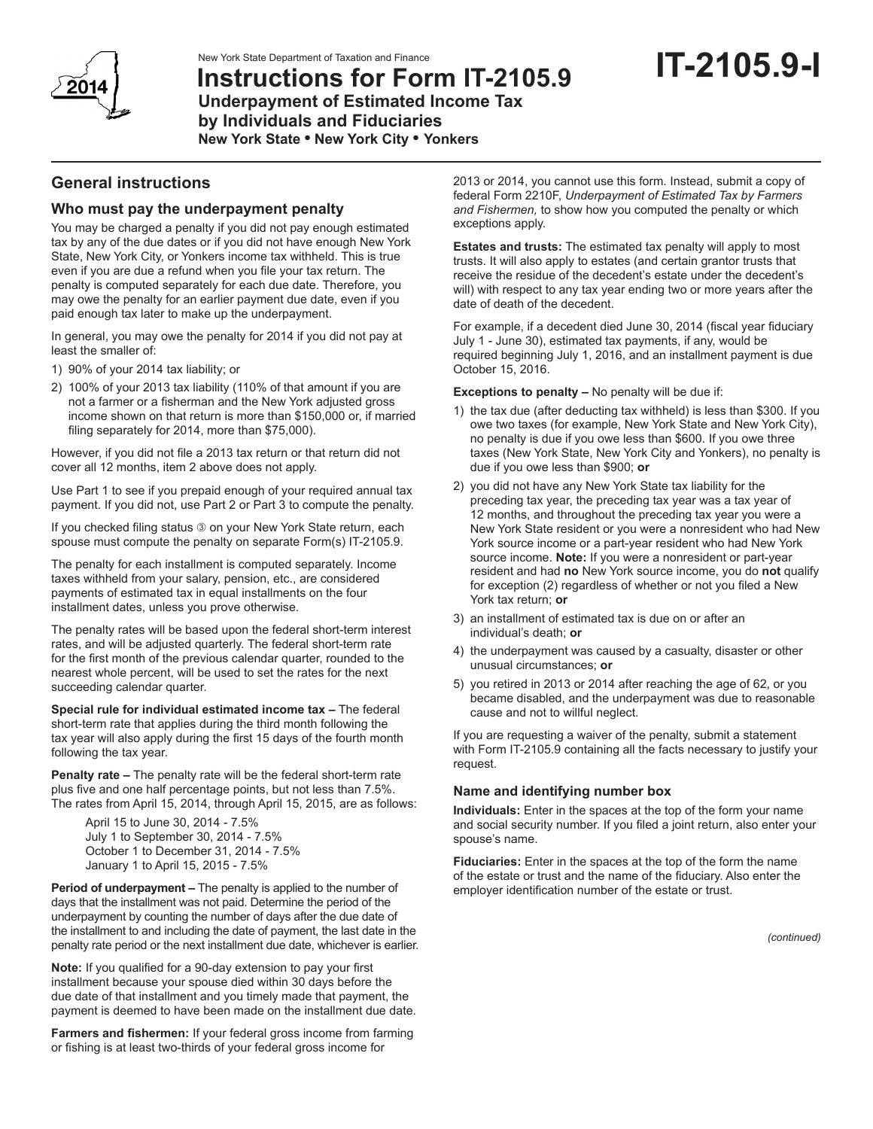New York State Department of Taxation and Finance





**Instructions for Form IT-2105.9 Underpayment of Estimated Income Tax by Individuals and Fiduciaries New York State • New York City • Yonkers**

# **General instructions**

## **Who must pay the underpayment penalty**

You may be charged a penalty if you did not pay enough estimated tax by any of the due dates or if you did not have enough New York State, New York City, or Yonkers income tax withheld. This is true even if you are due a refund when you file your tax return. The penalty is computed separately for each due date. Therefore, you may owe the penalty for an earlier payment due date, even if you paid enough tax later to make up the underpayment.

In general, you may owe the penalty for 2014 if you did not pay at least the smaller of:

- 1) 90% of your 2014 tax liability; or
- 2) 100% of your 2013 tax liability (110% of that amount if you are not a farmer or a fisherman and the New York adjusted gross income shown on that return is more than \$150,000 or, if married filing separately for 2014, more than \$75,000).

However, if you did not file a 2013 tax return or that return did not cover all 12 months, item 2 above does not apply.

Use Part 1 to see if you prepaid enough of your required annual tax payment. If you did not, use Part 2 or Part 3 to compute the penalty.

If you checked filing status  $\circledcirc$  on your New York State return, each spouse must compute the penalty on separate Form(s) IT-2105.9.

The penalty for each installment is computed separately. Income taxes withheld from your salary, pension, etc., are considered payments of estimated tax in equal installments on the four installment dates, unless you prove otherwise.

The penalty rates will be based upon the federal short-term interest rates, and will be adjusted quarterly. The federal short-term rate for the first month of the previous calendar quarter, rounded to the nearest whole percent, will be used to set the rates for the next succeeding calendar quarter.

**Special rule for individual estimated income tax –** The federal short-term rate that applies during the third month following the tax year will also apply during the first 15 days of the fourth month following the tax year.

**Penalty rate –** The penalty rate will be the federal short-term rate plus five and one half percentage points, but not less than 7.5%. The rates from April 15, 2014, through April 15, 2015, are as follows:

April 15 to June 30, 2014 - 7.5% July 1 to September 30, 2014 - 7.5% October 1 to December 31, 2014 - 7.5% January 1 to April 15, 2015 - 7.5%

**Period of underpayment –** The penalty is applied to the number of days that the installment was not paid. Determine the period of the underpayment by counting the number of days after the due date of the installment to and including the date of payment, the last date in the penalty rate period or the next installment due date, whichever is earlier.

**Note:** If you qualified for a 90-day extension to pay your first installment because your spouse died within 30 days before the due date of that installment and you timely made that payment, the payment is deemed to have been made on the installment due date.

**Farmers and fishermen:** If your federal gross income from farming or fishing is at least two-thirds of your federal gross income for

2013 or 2014, you cannot use this form. Instead, submit a copy of federal Form 2210F, *Underpayment of Estimated Tax by Farmers and Fishermen,* to show how you computed the penalty or which exceptions apply.

**Estates and trusts:** The estimated tax penalty will apply to most trusts. It will also apply to estates (and certain grantor trusts that receive the residue of the decedent's estate under the decedent's will) with respect to any tax year ending two or more years after the date of death of the decedent.

For example, if a decedent died June 30, 2014 (fiscal year fiduciary July 1 - June 30), estimated tax payments, if any, would be required beginning July 1, 2016, and an installment payment is due October 15, 2016.

**Exceptions to penalty –** No penalty will be due if:

- 1) the tax due (after deducting tax withheld) is less than \$300. If you owe two taxes (for example, New York State and New York City), no penalty is due if you owe less than \$600. If you owe three taxes (New York State, New York City and Yonkers), no penalty is due if you owe less than \$900; **or**
- 2) you did not have any New York State tax liability for the preceding tax year, the preceding tax year was a tax year of 12 months, and throughout the preceding tax year you were a New York State resident or you were a nonresident who had New York source income or a part‑year resident who had New York source income. **Note:** If you were a nonresident or part-year resident and had **no** New York source income, you do **not** qualify for exception (2) regardless of whether or not you filed a New York tax return; **or**
- 3) an installment of estimated tax is due on or after an individual's death; **or**
- 4) the underpayment was caused by a casualty, disaster or other unusual circumstances; **or**
- 5) you retired in 2013 or 2014 after reaching the age of 62, or you became disabled, and the underpayment was due to reasonable cause and not to willful neglect.

If you are requesting a waiver of the penalty, submit a statement with Form IT-2105.9 containing all the facts necessary to justify your request.

### **Name and identifying number box**

**Individuals:** Enter in the spaces at the top of the form your name and social security number. If you filed a joint return, also enter your spouse's name.

**Fiduciaries:** Enter in the spaces at the top of the form the name of the estate or trust and the name of the fiduciary. Also enter the employer identification number of the estate or trust.

*(continued)*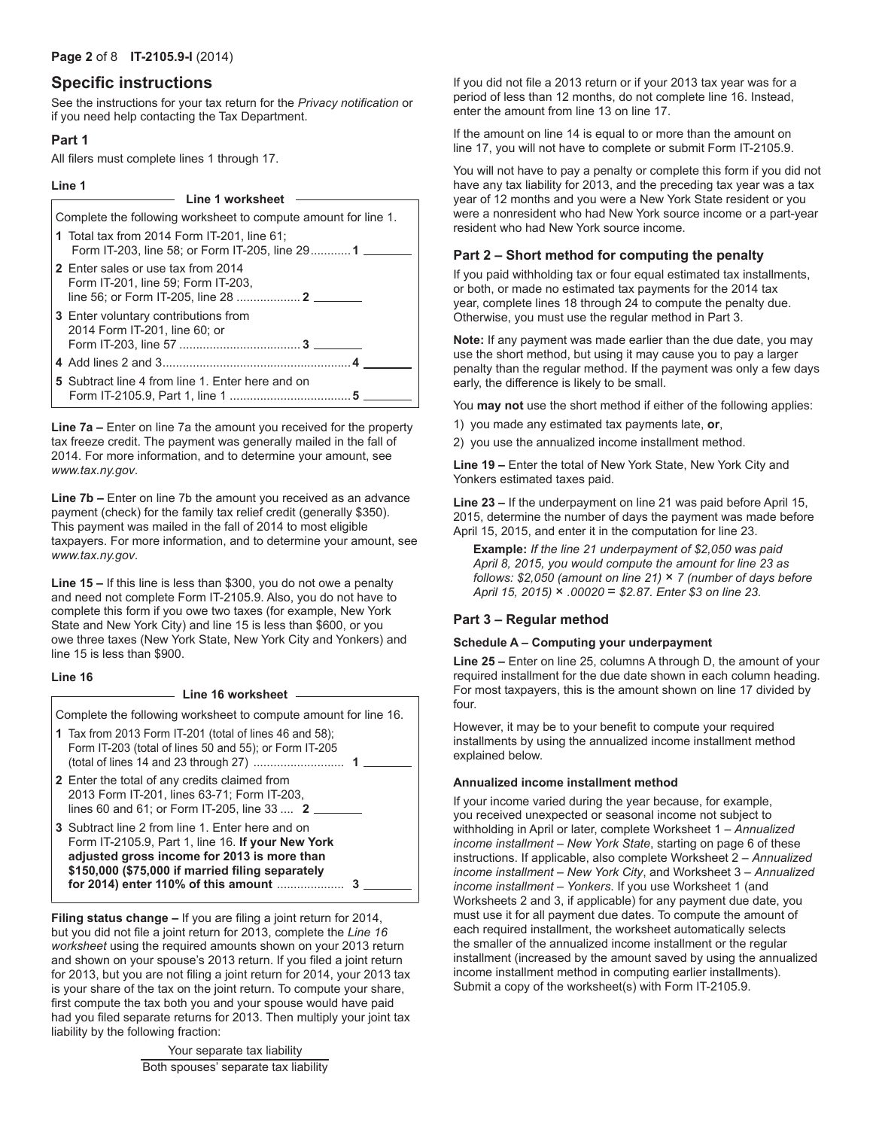### **Page 2** of 8 **IT-2105.9-I** (2014)

## **Specific instructions**

See the instructions for your tax return for the *Privacy notification* or if you need help contacting the Tax Department.

## **Part 1**

All filers must complete lines 1 through 17.

### **Line 1**

| Line 1 worksheet                                                                               |
|------------------------------------------------------------------------------------------------|
| Complete the following worksheet to compute amount for line 1.                                 |
| 1 Total tax from 2014 Form IT-201, line 61;<br>Form IT-203, line 58; or Form IT-205, line 29 1 |
| <b>2</b> Enter sales or use tax from 2014<br>Form IT-201, line 59; Form IT-203,                |
| <b>3</b> Enter voluntary contributions from<br>2014 Form IT-201, line 60; or                   |
|                                                                                                |
| 5 Subtract line 4 from line 1. Enter here and on                                               |

**Line 7a –** Enter on line 7a the amount you received for the property tax freeze credit. The payment was generally mailed in the fall of 2014. For more information, and to determine your amount, see *www.tax.ny.gov*.

**Line 7b –** Enter on line 7b the amount you received as an advance payment (check) for the family tax relief credit (generally \$350). This payment was mailed in the fall of 2014 to most eligible taxpayers. For more information, and to determine your amount, see *www.tax.ny.gov*.

**Line 15 –** If this line is less than \$300, you do not owe a penalty and need not complete Form IT-2105.9. Also, you do not have to complete this form if you owe two taxes (for example, New York State and New York City) and line 15 is less than \$600, or you owe three taxes (New York State, New York City and Yonkers) and line 15 is less than \$900.

## **Line 16**

# **Line 16 worksheet**

Complete the following worksheet to compute amount for line 16.

- **1** Tax from 2013 Form IT-201 (total of lines 46 and 58); Form IT-203 (total of lines 50 and 55); or Form IT-205 (total of lines 14 and 23 through 27) ........................... **1**
- **2** Enter the total of any credits claimed from 2013 Form IT-201, lines 63-71; Form IT-203, lines 60 and 61; or Form IT-205, line 33 .... **2**
- **3** Subtract line 2 from line 1. Enter here and on Form IT-2105.9, Part 1, line 16. **If your New York adjusted gross income for 2013 is more than \$150,000 (\$75,000 if married filing separately for 2014) enter 110% of this amount** .................... **3**

**Filing status change –** If you are filing a joint return for 2014, but you did not file a joint return for 2013, complete the *Line 16 worksheet* using the required amounts shown on your 2013 return and shown on your spouse's 2013 return. If you filed a joint return for 2013, but you are not filing a joint return for 2014, your 2013 tax is your share of the tax on the joint return. To compute your share, first compute the tax both you and your spouse would have paid had you filed separate returns for 2013. Then multiply your joint tax liability by the following fraction:

> Your separate tax liability Both spouses' separate tax liability

If you did not file a 2013 return or if your 2013 tax year was for a period of less than 12 months, do not complete line 16. Instead, enter the amount from line 13 on line 17.

If the amount on line 14 is equal to or more than the amount on line 17, you will not have to complete or submit Form IT-2105.9.

You will not have to pay a penalty or complete this form if you did not have any tax liability for 2013, and the preceding tax year was a tax year of 12 months and you were a New York State resident or you were a nonresident who had New York source income or a part-year resident who had New York source income.

## **Part 2 – Short method for computing the penalty**

If you paid withholding tax or four equal estimated tax installments, or both, or made no estimated tax payments for the 2014 tax year, complete lines 18 through 24 to compute the penalty due. Otherwise, you must use the regular method in Part 3.

**Note:** If any payment was made earlier than the due date, you may use the short method, but using it may cause you to pay a larger penalty than the regular method. If the payment was only a few days early, the difference is likely to be small.

You **may not** use the short method if either of the following applies:

- 1) you made any estimated tax payments late, **or**,
- 2) you use the annualized income installment method.

**Line 19 –** Enter the total of New York State, New York City and Yonkers estimated taxes paid.

**Line 23 –** If the underpayment on line 21 was paid before April 15, 2015, determine the number of days the payment was made before April 15, 2015, and enter it in the computation for line 23.

**Example:** *If the line 21 underpayment of \$2,050 was paid April 8, 2015, you would compute the amount for line 23 as follows: \$2,050 (amount on line 21)* × *7 (number of days before April 15, 2015)* × *.00020* = *\$2.87. Enter \$3 on line 23.*

## **Part 3 – Regular method**

### **Schedule A – Computing your underpayment**

**Line 25 –** Enter on line 25, columns A through D, the amount of your required installment for the due date shown in each column heading. For most taxpayers, this is the amount shown on line 17 divided by four.

However, it may be to your benefit to compute your required installments by using the annualized income installment method explained below.

### **Annualized income installment method**

If your income varied during the year because, for example, you received unexpected or seasonal income not subject to withholding in April or later, complete Worksheet 1 – *Annualized income installment – New York State*, starting on page 6 of these instructions. If applicable, also complete Worksheet 2 – *Annualized income installment – New York City*, and Worksheet 3 – *Annualized income installment – Yonkers*. If you use Worksheet 1 (and Worksheets 2 and 3, if applicable) for any payment due date, you must use it for all payment due dates. To compute the amount of each required installment, the worksheet automatically selects the smaller of the annualized income installment or the regular installment (increased by the amount saved by using the annualized income installment method in computing earlier installments). Submit a copy of the worksheet(s) with Form IT-2105.9.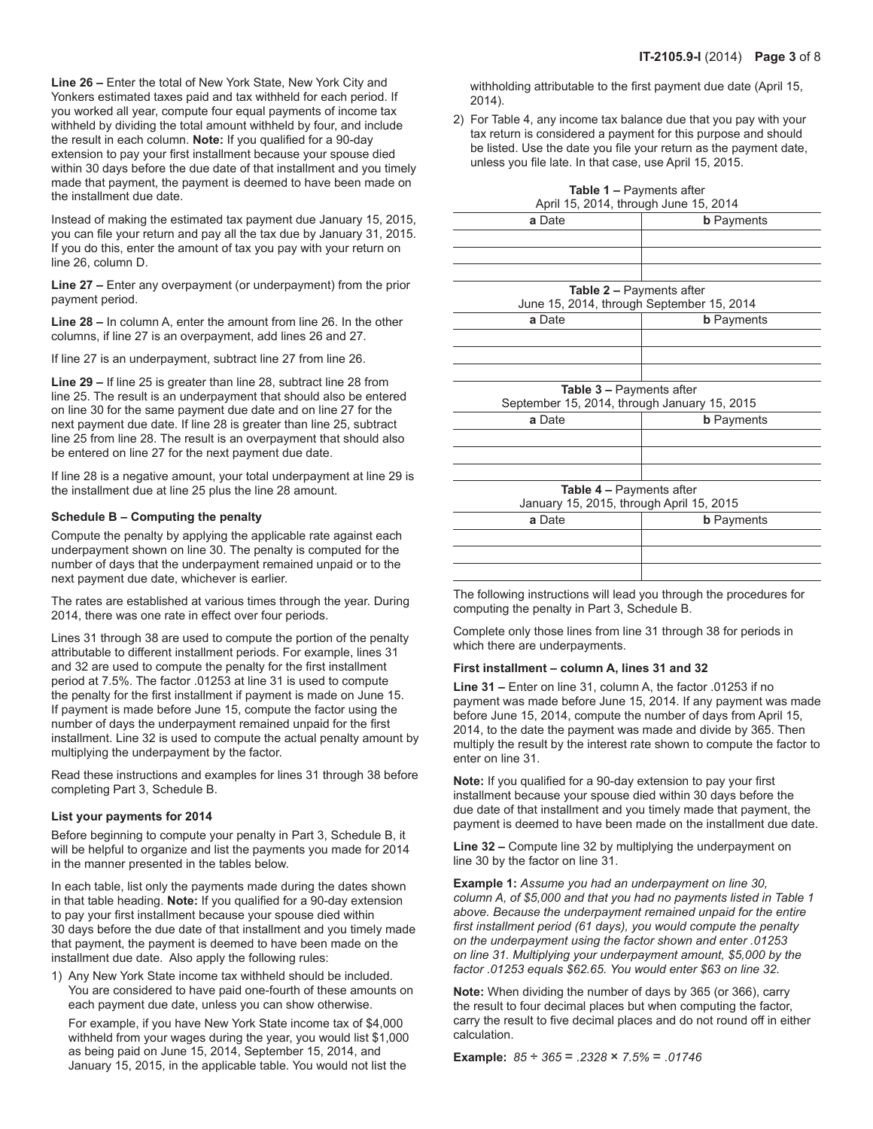**Line 26 –** Enter the total of New York State, New York City and Yonkers estimated taxes paid and tax withheld for each period. If you worked all year, compute four equal payments of income tax withheld by dividing the total amount withheld by four, and include the result in each column. **Note:** If you qualified for a 90-day extension to pay your first installment because your spouse died within 30 days before the due date of that installment and you timely made that payment, the payment is deemed to have been made on the installment due date.

Instead of making the estimated tax payment due January 15, 2015, you can file your return and pay all the tax due by January 31, 2015. If you do this, enter the amount of tax you pay with your return on line 26, column D.

**Line 27 –** Enter any overpayment (or underpayment) from the prior payment period.

**Line 28 –** In column A, enter the amount from line 26. In the other columns, if line 27 is an overpayment, add lines 26 and 27.

If line 27 is an underpayment, subtract line 27 from line 26.

**Line 29 –** If line 25 is greater than line 28, subtract line 28 from line 25. The result is an underpayment that should also be entered on line 30 for the same payment due date and on line 27 for the next payment due date. If line 28 is greater than line 25, subtract line 25 from line 28. The result is an overpayment that should also be entered on line 27 for the next payment due date.

If line 28 is a negative amount, your total underpayment at line 29 is the installment due at line 25 plus the line 28 amount.

#### **Schedule B – Computing the penalty**

Compute the penalty by applying the applicable rate against each underpayment shown on line 30. The penalty is computed for the number of days that the underpayment remained unpaid or to the next payment due date, whichever is earlier.

The rates are established at various times through the year. During 2014, there was one rate in effect over four periods.

Lines 31 through 38 are used to compute the portion of the penalty attributable to different installment periods. For example, lines 31 and 32 are used to compute the penalty for the first installment period at 7.5%. The factor .01253 at line 31 is used to compute the penalty for the first installment if payment is made on June 15. If payment is made before June 15, compute the factor using the number of days the underpayment remained unpaid for the first installment. Line 32 is used to compute the actual penalty amount by multiplying the underpayment by the factor.

Read these instructions and examples for lines 31 through 38 before completing Part 3, Schedule B.

#### **List your payments for 2014**

Before beginning to compute your penalty in Part 3, Schedule B, it will be helpful to organize and list the payments you made for 2014 in the manner presented in the tables below.

In each table, list only the payments made during the dates shown in that table heading. **Note:** If you qualified for a 90-day extension to pay your first installment because your spouse died within 30 days before the due date of that installment and you timely made that payment, the payment is deemed to have been made on the installment due date. Also apply the following rules:

1) Any New York State income tax withheld should be included. You are considered to have paid one-fourth of these amounts on each payment due date, unless you can show otherwise.

For example, if you have New York State income tax of \$4,000 withheld from your wages during the year, you would list \$1,000 as being paid on June 15, 2014, September 15, 2014, and January 15, 2015, in the applicable table. You would not list the

withholding attributable to the first payment due date (April 15, 2014).

2) For Table 4, any income tax balance due that you pay with your tax return is considered a payment for this purpose and should be listed. Use the date you file your return as the payment date, unless you file late. In that case, use April 15, 2015.

| <b>Table 1 - Payments after</b><br>April 15, 2014, through June 15, 2014        |                   |  |  |  |  |  |  |
|---------------------------------------------------------------------------------|-------------------|--|--|--|--|--|--|
| a Date                                                                          | <b>b</b> Payments |  |  |  |  |  |  |
|                                                                                 |                   |  |  |  |  |  |  |
|                                                                                 |                   |  |  |  |  |  |  |
|                                                                                 |                   |  |  |  |  |  |  |
| <b>Table 2 – Payments after</b><br>June 15, 2014, through September 15, 2014    |                   |  |  |  |  |  |  |
| a Date                                                                          | <b>b</b> Payments |  |  |  |  |  |  |
|                                                                                 |                   |  |  |  |  |  |  |
|                                                                                 |                   |  |  |  |  |  |  |
| <b>Table 3 - Payments after</b><br>September 15, 2014, through January 15, 2015 |                   |  |  |  |  |  |  |
| a Date<br><b>b</b> Payments                                                     |                   |  |  |  |  |  |  |
|                                                                                 |                   |  |  |  |  |  |  |
|                                                                                 |                   |  |  |  |  |  |  |
|                                                                                 |                   |  |  |  |  |  |  |
| <b>Table 4 – Payments after</b><br>January 15, 2015, through April 15, 2015     |                   |  |  |  |  |  |  |
| a Date<br><b>b</b> Payments                                                     |                   |  |  |  |  |  |  |
|                                                                                 |                   |  |  |  |  |  |  |
|                                                                                 |                   |  |  |  |  |  |  |
|                                                                                 |                   |  |  |  |  |  |  |

The following instructions will lead you through the procedures for computing the penalty in Part 3, Schedule B.

Complete only those lines from line 31 through 38 for periods in which there are underpayments.

#### **First installment – column A, lines 31 and 32**

**Line 31 –** Enter on line 31, column A, the factor .01253 if no payment was made before June 15, 2014. If any payment was made before June 15, 2014, compute the number of days from April 15, 2014, to the date the payment was made and divide by 365. Then multiply the result by the interest rate shown to compute the factor to enter on line 31.

**Note:** If you qualified for a 90-day extension to pay your first installment because your spouse died within 30 days before the due date of that installment and you timely made that payment, the payment is deemed to have been made on the installment due date.

**Line 32 –** Compute line 32 by multiplying the underpayment on line 30 by the factor on line 31.

**Example 1:** *Assume you had an underpayment on line 30, column A, of \$5,000 and that you had no payments listed in Table 1 above. Because the underpayment remained unpaid for the entire first installment period (61 days), you would compute the penalty on the underpayment using the factor shown and enter .01253 on line 31. Multiplying your underpayment amount, \$5,000 by the factor .01253 equals \$62.65. You would enter \$63 on line 32.* 

**Note:** When dividing the number of days by 365 (or 366), carry the result to four decimal places but when computing the factor, carry the result to five decimal places and do not round off in either calculation.

**Example:** *85* ÷ *365* = *.2328* × *7.5%* = *.01746*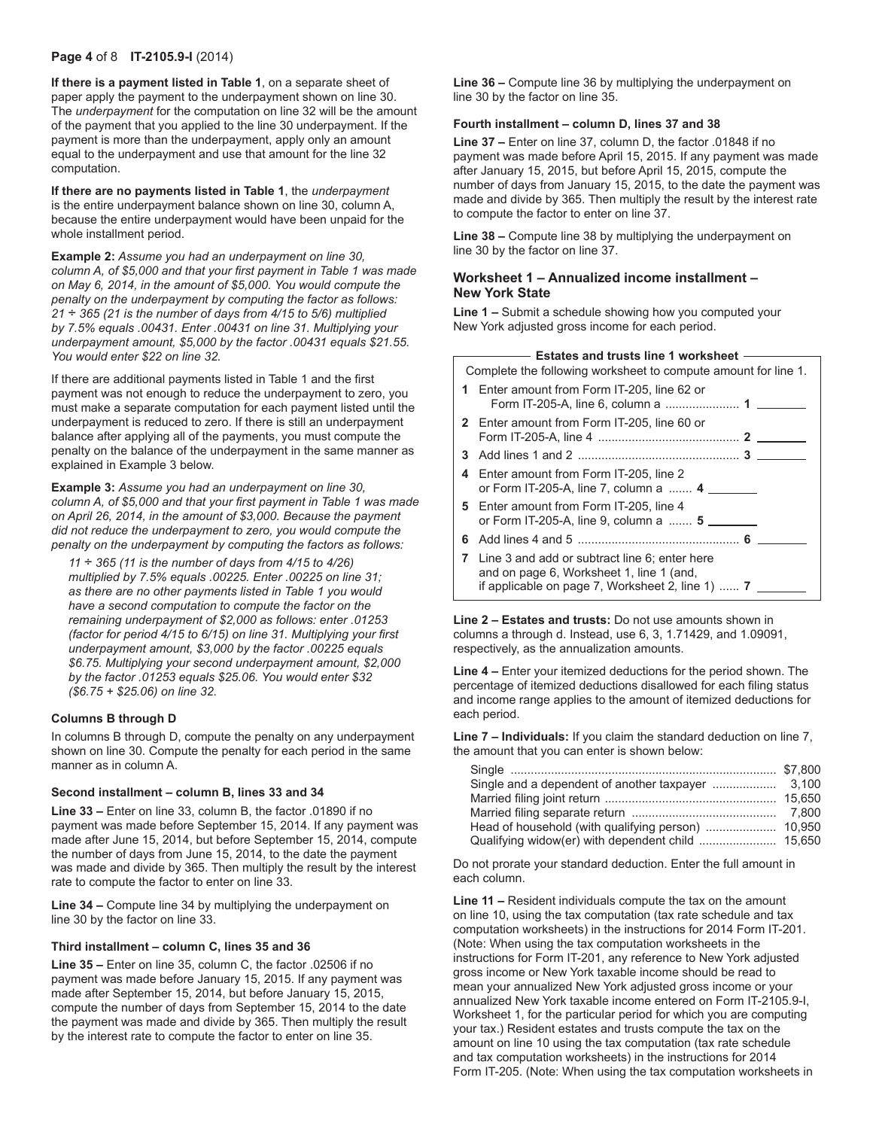#### **Page 4** of 8 **IT-2105.9-I** (2014)

**If there is a payment listed in Table 1**, on a separate sheet of paper apply the payment to the underpayment shown on line 30. The *underpayment* for the computation on line 32 will be the amount of the payment that you applied to the line 30 underpayment. If the payment is more than the underpayment, apply only an amount equal to the underpayment and use that amount for the line 32 computation.

**If there are no payments listed in Table 1**, the *underpayment* is the entire underpayment balance shown on line 30, column A, because the entire underpayment would have been unpaid for the whole installment period.

**Example 2:** *Assume you had an underpayment on line 30, column A, of \$5,000 and that your first payment in Table 1 was made on May 6, 2014, in the amount of \$5,000. You would compute the penalty on the underpayment by computing the factor as follows: 21* ÷ *365 (21 is the number of days from 4/15 to 5/6) multiplied by 7.5% equals .00431. Enter .00431 on line 31. Multiplying your underpayment amount, \$5,000 by the factor .00431 equals \$21.55. You would enter \$22 on line 32.*

If there are additional payments listed in Table 1 and the first payment was not enough to reduce the underpayment to zero, you must make a separate computation for each payment listed until the underpayment is reduced to zero. If there is still an underpayment balance after applying all of the payments, you must compute the penalty on the balance of the underpayment in the same manner as explained in Example 3 below.

**Example 3:** *Assume you had an underpayment on line 30, column A, of \$5,000 and that your first payment in Table 1 was made on April 26, 2014, in the amount of \$3,000. Because the payment did not reduce the underpayment to zero, you would compute the penalty on the underpayment by computing the factors as follows:*

*11* ÷ *365 (11 is the number of days from 4/15 to 4/26) multiplied by 7.5% equals .00225. Enter .00225 on line 31; as there are no other payments listed in Table 1 you would have a second computation to compute the factor on the remaining underpayment of \$2,000 as follows: enter .01253 (factor for period 4/15 to 6/15) on line 31. Multiplying your first underpayment amount, \$3,000 by the factor .00225 equals \$6.75. Multiplying your second underpayment amount, \$2,000 by the factor .01253 equals \$25.06. You would enter \$32 (\$6.75 + \$25.06) on line 32.* 

#### **Columns B through D**

In columns B through D, compute the penalty on any underpayment shown on line 30. Compute the penalty for each period in the same manner as in column A.

#### **Second installment – column B, lines 33 and 34**

**Line 33 –** Enter on line 33, column B, the factor .01890 if no payment was made before September 15, 2014. If any payment was made after June 15, 2014, but before September 15, 2014, compute the number of days from June 15, 2014, to the date the payment was made and divide by 365. Then multiply the result by the interest rate to compute the factor to enter on line 33.

**Line 34 –** Compute line 34 by multiplying the underpayment on line 30 by the factor on line 33.

#### **Third installment – column C, lines 35 and 36**

**Line 35 –** Enter on line 35, column C, the factor .02506 if no payment was made before January 15, 2015. If any payment was made after September 15, 2014, but before January 15, 2015, compute the number of days from September 15, 2014 to the date the payment was made and divide by 365. Then multiply the result by the interest rate to compute the factor to enter on line 35.

**Line 36 –** Compute line 36 by multiplying the underpayment on line 30 by the factor on line 35.

#### **Fourth installment – column D, lines 37 and 38**

**Line 37 –** Enter on line 37, column D, the factor .01848 if no payment was made before April 15, 2015. If any payment was made after January 15, 2015, but before April 15, 2015, compute the number of days from January 15, 2015, to the date the payment was made and divide by 365. Then multiply the result by the interest rate to compute the factor to enter on line 37.

**Line 38 –** Compute line 38 by multiplying the underpayment on line 30 by the factor on line 37.

#### **Worksheet 1 – Annualized income installment – New York State**

**Line 1 –** Submit a schedule showing how you computed your New York adjusted gross income for each period.

|   | <b>Estates and trusts line 1 worksheet -</b>                                                                                                            |  |  |  |  |  |
|---|---------------------------------------------------------------------------------------------------------------------------------------------------------|--|--|--|--|--|
|   | Complete the following worksheet to compute amount for line 1.                                                                                          |  |  |  |  |  |
|   | 1 Enter amount from Form IT-205, line 62 or                                                                                                             |  |  |  |  |  |
|   | 2 Enter amount from Form IT-205, line 60 or                                                                                                             |  |  |  |  |  |
|   |                                                                                                                                                         |  |  |  |  |  |
|   | 4 Enter amount from Form IT-205, line 2<br>or Form IT-205-A, line 7, column a  4                                                                        |  |  |  |  |  |
|   | 5 Enter amount from Form IT-205, line 4<br>or Form IT-205-A, line 9, column a  5                                                                        |  |  |  |  |  |
| 6 |                                                                                                                                                         |  |  |  |  |  |
|   | 7 Line 3 and add or subtract line 6: enter here<br>and on page 6, Worksheet 1, line 1 (and,<br>if applicable on page 7, Worksheet 2, line 1) $\ldots$ 7 |  |  |  |  |  |
|   |                                                                                                                                                         |  |  |  |  |  |

**Line 2 – Estates and trusts:** Do not use amounts shown in columns a through d. Instead, use 6, 3, 1.71429, and 1.09091, respectively, as the annualization amounts.

**Line 4 –** Enter your itemized deductions for the period shown. The percentage of itemized deductions disallowed for each filing status and income range applies to the amount of itemized deductions for each period.

**Line 7 – Individuals:** If you claim the standard deduction on line 7, the amount that you can enter is shown below:

Do not prorate your standard deduction. Enter the full amount in each column.

**Line 11 –** Resident individuals compute the tax on the amount on line 10, using the tax computation (tax rate schedule and tax computation worksheets) in the instructions for 2014 Form IT‑201. (Note: When using the tax computation worksheets in the instructions for Form IT-201, any reference to New York adjusted gross income or New York taxable income should be read to mean your annualized New York adjusted gross income or your annualized New York taxable income entered on Form IT-2105.9-I, Worksheet 1, for the particular period for which you are computing your tax.) Resident estates and trusts compute the tax on the amount on line 10 using the tax computation (tax rate schedule and tax computation worksheets) in the instructions for 2014 Form IT-205. (Note: When using the tax computation worksheets in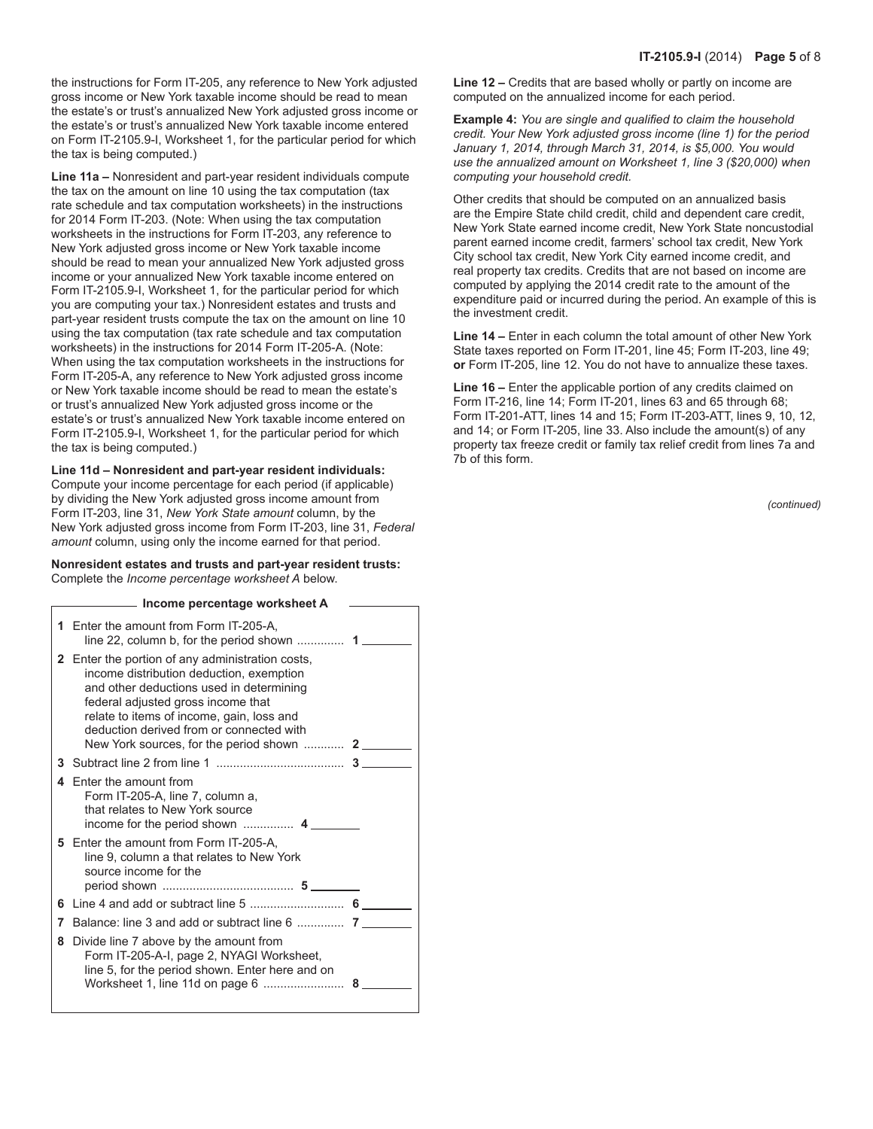the instructions for Form IT-205, any reference to New York adjusted gross income or New York taxable income should be read to mean the estate's or trust's annualized New York adjusted gross income or the estate's or trust's annualized New York taxable income entered on Form IT-2105.9-I, Worksheet 1, for the particular period for which the tax is being computed.)

**Line 11a –** Nonresident and part-year resident individuals compute the tax on the amount on line 10 using the tax computation (tax rate schedule and tax computation worksheets) in the instructions for 2014 Form IT-203. (Note: When using the tax computation worksheets in the instructions for Form IT-203, any reference to New York adjusted gross income or New York taxable income should be read to mean your annualized New York adjusted gross income or your annualized New York taxable income entered on Form IT-2105.9-I, Worksheet 1, for the particular period for which you are computing your tax.) Nonresident estates and trusts and part-year resident trusts compute the tax on the amount on line 10 using the tax computation (tax rate schedule and tax computation worksheets) in the instructions for 2014 Form IT‑205-A. (Note: When using the tax computation worksheets in the instructions for Form IT-205-A, any reference to New York adjusted gross income or New York taxable income should be read to mean the estate's or trust's annualized New York adjusted gross income or the estate's or trust's annualized New York taxable income entered on Form IT-2105.9-I, Worksheet 1, for the particular period for which the tax is being computed.)

**Line 11d – Nonresident and part-year resident individuals:**  Compute your income percentage for each period (if applicable) by dividing the New York adjusted gross income amount from Form IT‑203, line 31, *New York State amount* column, by the New York adjusted gross income from Form IT-203, line 31, *Federal amount* column, using only the income earned for that period.

#### **Nonresident estates and trusts and part-year resident trusts:**  Complete the *Income percentage worksheet A* below.

|   | Income percentage worksheet A                                                                                                                                                                                                                                                  |                |
|---|--------------------------------------------------------------------------------------------------------------------------------------------------------------------------------------------------------------------------------------------------------------------------------|----------------|
| 1 | Enter the amount from Form IT-205-A.                                                                                                                                                                                                                                           |                |
|   | <b>2</b> Enter the portion of any administration costs,<br>income distribution deduction, exemption<br>and other deductions used in determining<br>federal adjusted gross income that<br>relate to items of income, gain, loss and<br>deduction derived from or connected with |                |
| 3 |                                                                                                                                                                                                                                                                                |                |
| 4 | Enter the amount from<br>Form IT-205-A, line 7, column a,<br>that relates to New York source                                                                                                                                                                                   |                |
|   | 5 Enter the amount from Form IT-205-A,<br>line 9, column a that relates to New York<br>source income for the                                                                                                                                                                   |                |
| 6 |                                                                                                                                                                                                                                                                                |                |
| 7 |                                                                                                                                                                                                                                                                                |                |
| 8 | Divide line 7 above by the amount from<br>Form IT-205-A-I, page 2, NYAGI Worksheet,<br>line 5, for the period shown. Enter here and on                                                                                                                                         | 8 <sub>1</sub> |

**Line 12 –** Credits that are based wholly or partly on income are computed on the annualized income for each period.

**Example 4:** *You are single and qualified to claim the household credit. Your New York adjusted gross income (line 1) for the period January 1, 2014, through March 31, 2014, is \$5,000. You would use the annualized amount on Worksheet 1, line 3 (\$20,000) when computing your household credit.*

Other credits that should be computed on an annualized basis are the Empire State child credit, child and dependent care credit, New York State earned income credit, New York State noncustodial parent earned income credit, farmers' school tax credit, New York City school tax credit, New York City earned income credit, and real property tax credits. Credits that are not based on income are computed by applying the 2014 credit rate to the amount of the expenditure paid or incurred during the period. An example of this is the investment credit.

**Line 14 –** Enter in each column the total amount of other New York State taxes reported on Form IT-201, line 45; Form IT-203, line 49; **or** Form IT-205, line 12. You do not have to annualize these taxes.

**Line 16 –** Enter the applicable portion of any credits claimed on Form IT-216, line 14; Form IT-201, lines 63 and 65 through 68; Form IT-201-ATT, lines 14 and 15; Form IT-203-ATT, lines 9, 10, 12, and 14; or Form IT-205, line 33. Also include the amount(s) of any property tax freeze credit or family tax relief credit from lines 7a and 7b of this form.

*(continued)*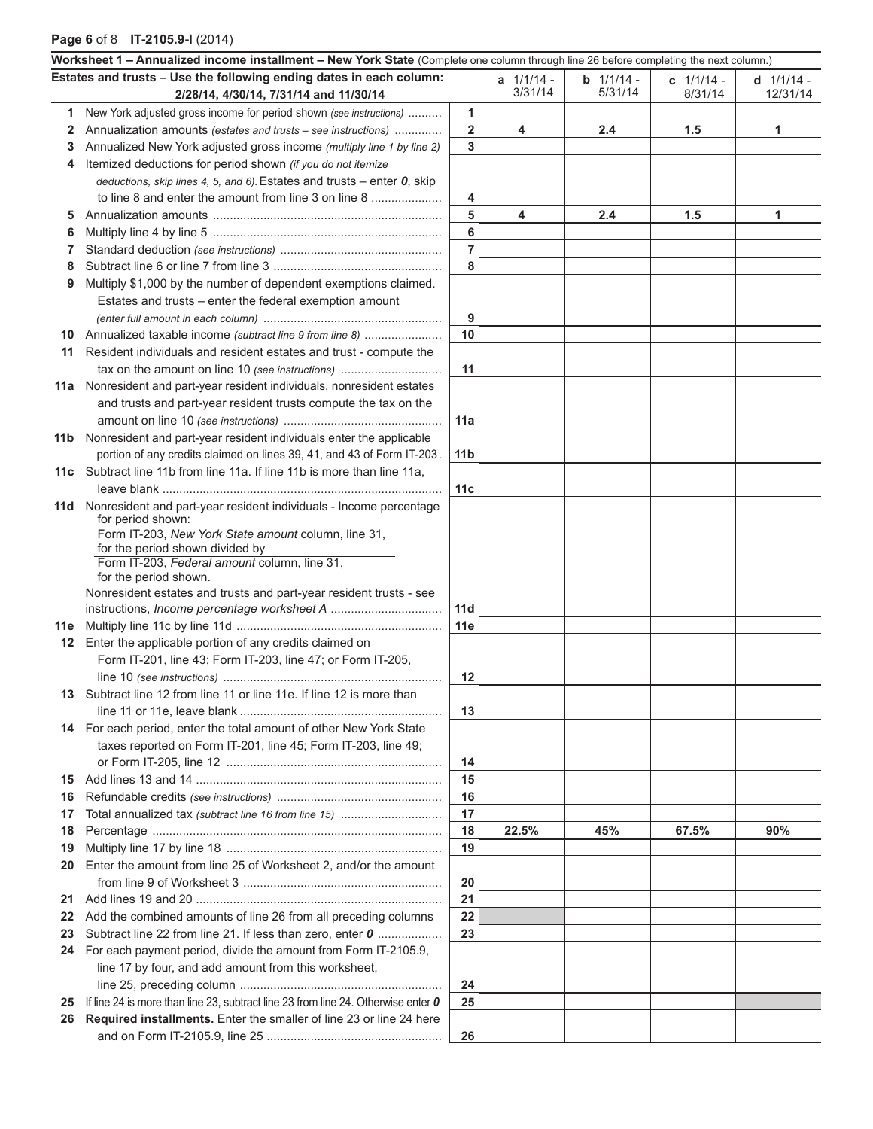## **Page 6** of 8 **IT-2105.9-I** (2014)

|     | Worksheet 1 - Annualized income installment - New York State (Complete one column through line 26 before completing the next column.) |                         |                |                |              |              |
|-----|---------------------------------------------------------------------------------------------------------------------------------------|-------------------------|----------------|----------------|--------------|--------------|
|     | Estates and trusts - Use the following ending dates in each column:                                                                   |                         | $a$ $1/1/14$ - | $b$ $1/1/14$ - | c $1/1/14$ - | $d$ 1/1/14 - |
|     | 2/28/14, 4/30/14, 7/31/14 and 11/30/14                                                                                                |                         | 3/31/14        | 5/31/14        | 8/31/14      | 12/31/14     |
| 1   | New York adjusted gross income for period shown (see instructions)                                                                    | 1                       |                |                |              |              |
| 2   | Annualization amounts (estates and trusts – see instructions)                                                                         | $\overline{\mathbf{2}}$ | 4              | 2.4            | 1.5          | 1            |
| 3   | Annualized New York adjusted gross income (multiply line 1 by line 2)                                                                 | 3                       |                |                |              |              |
| 4   | Itemized deductions for period shown (if you do not itemize                                                                           |                         |                |                |              |              |
|     | deductions, skip lines 4, 5, and 6). Estates and trusts – enter $\bm{0}$ , skip                                                       |                         |                |                |              |              |
|     | to line 8 and enter the amount from line 3 on line 8                                                                                  | 4                       |                |                |              |              |
| 5   |                                                                                                                                       | 5                       | 4              | 2.4            | 1.5          | 1            |
| 6   |                                                                                                                                       | 6                       |                |                |              |              |
| 7   |                                                                                                                                       | $\overline{7}$          |                |                |              |              |
| 8   |                                                                                                                                       | 8                       |                |                |              |              |
| 9   | Multiply \$1,000 by the number of dependent exemptions claimed.                                                                       |                         |                |                |              |              |
|     | Estates and trusts – enter the federal exemption amount                                                                               |                         |                |                |              |              |
|     |                                                                                                                                       | 9                       |                |                |              |              |
| 10  | Annualized taxable income (subtract line 9 from line 8)                                                                               | 10                      |                |                |              |              |
| 11  | Resident individuals and resident estates and trust - compute the                                                                     |                         |                |                |              |              |
|     | tax on the amount on line 10 (see instructions)                                                                                       | 11                      |                |                |              |              |
| 11a | Nonresident and part-year resident individuals, nonresident estates                                                                   |                         |                |                |              |              |
|     | and trusts and part-year resident trusts compute the tax on the                                                                       |                         |                |                |              |              |
|     |                                                                                                                                       | 11a                     |                |                |              |              |
|     | 11b Nonresident and part-year resident individuals enter the applicable                                                               |                         |                |                |              |              |
|     | portion of any credits claimed on lines 39, 41, and 43 of Form IT-203.                                                                | 11 <sub>b</sub>         |                |                |              |              |
|     | 11c Subtract line 11b from line 11a. If line 11b is more than line 11a,                                                               |                         |                |                |              |              |
|     |                                                                                                                                       | 11c                     |                |                |              |              |
| 11d | Nonresident and part-year resident individuals - Income percentage<br>for period shown:                                               |                         |                |                |              |              |
|     | Form IT-203, New York State amount column, line 31,                                                                                   |                         |                |                |              |              |
|     | for the period shown divided by                                                                                                       |                         |                |                |              |              |
|     | Form IT-203, Federal amount column, line 31,                                                                                          |                         |                |                |              |              |
|     | for the period shown.                                                                                                                 |                         |                |                |              |              |
|     | Nonresident estates and trusts and part-year resident trusts - see                                                                    | 11d                     |                |                |              |              |
|     |                                                                                                                                       | 11e                     |                |                |              |              |
|     | 12 Enter the applicable portion of any credits claimed on                                                                             |                         |                |                |              |              |
|     | Form IT-201, line 43; Form IT-203, line 47; or Form IT-205,                                                                           |                         |                |                |              |              |
|     |                                                                                                                                       | 12                      |                |                |              |              |
|     | 13 Subtract line 12 from line 11 or line 11e. If line 12 is more than                                                                 |                         |                |                |              |              |
|     |                                                                                                                                       | 13                      |                |                |              |              |
|     | 14 For each period, enter the total amount of other New York State                                                                    |                         |                |                |              |              |
|     | taxes reported on Form IT-201, line 45; Form IT-203, line 49;                                                                         |                         |                |                |              |              |
|     |                                                                                                                                       | 14                      |                |                |              |              |
| 15  |                                                                                                                                       | 15                      |                |                |              |              |
| 16  |                                                                                                                                       | 16                      |                |                |              |              |
| 17  |                                                                                                                                       | 17                      |                |                |              |              |
| 18  |                                                                                                                                       | 18                      | 22.5%          | 45%            | 67.5%        | 90%          |
| 19  |                                                                                                                                       | 19                      |                |                |              |              |
| 20  | Enter the amount from line 25 of Worksheet 2, and/or the amount                                                                       |                         |                |                |              |              |
|     |                                                                                                                                       | 20                      |                |                |              |              |
| 21  |                                                                                                                                       | 21                      |                |                |              |              |
| 22  | Add the combined amounts of line 26 from all preceding columns                                                                        | 22                      |                |                |              |              |
| 23  | Subtract line 22 from line 21. If less than zero, enter 0                                                                             | 23                      |                |                |              |              |
| 24  | For each payment period, divide the amount from Form IT-2105.9,                                                                       |                         |                |                |              |              |
|     | line 17 by four, and add amount from this worksheet,                                                                                  |                         |                |                |              |              |
|     |                                                                                                                                       | 24                      |                |                |              |              |
| 25  | If line 24 is more than line 23, subtract line 23 from line 24. Otherwise enter 0                                                     | 25                      |                |                |              |              |
|     | 26 Required installments. Enter the smaller of line 23 or line 24 here                                                                |                         |                |                |              |              |
|     |                                                                                                                                       | 26                      |                |                |              |              |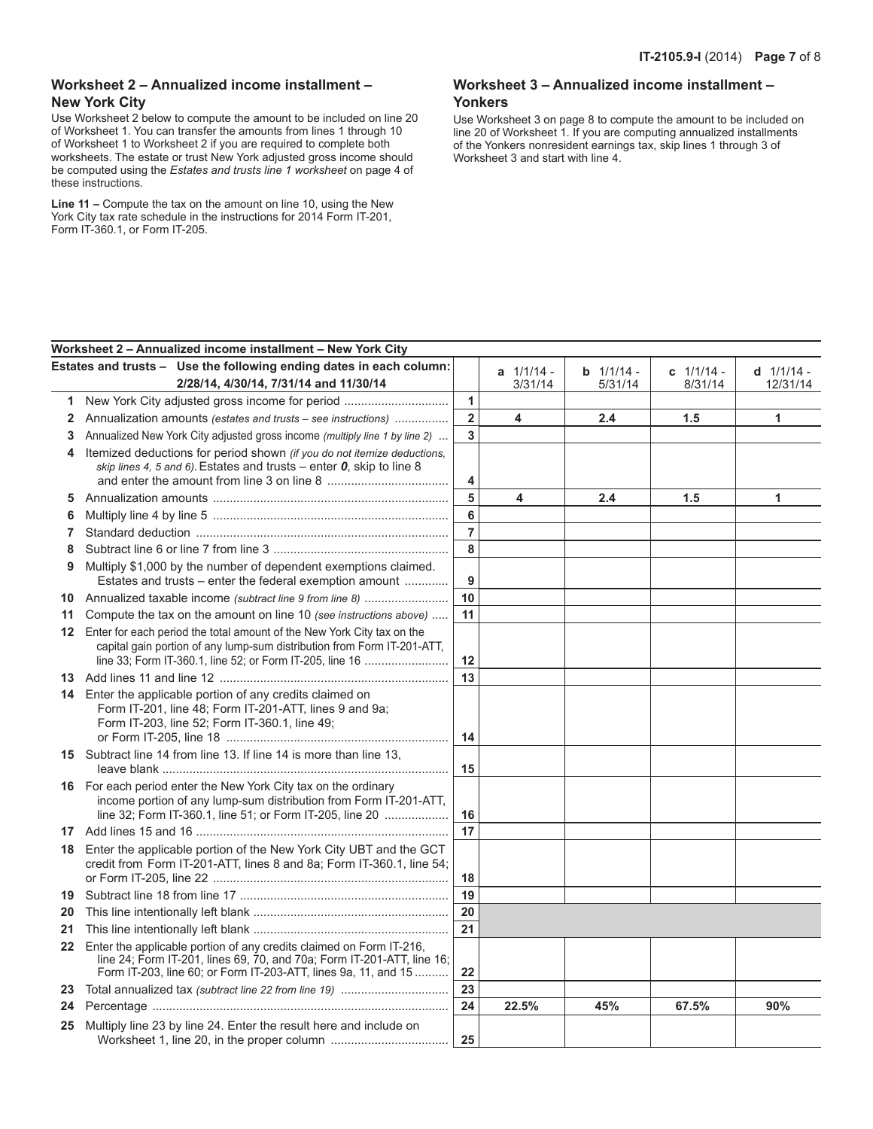### **Worksheet 2 – Annualized income installment – New York City**

Use Worksheet 2 below to compute the amount to be included on line 20 of Worksheet 1. You can transfer the amounts from lines 1 through 10 of Worksheet 1 to Worksheet 2 if you are required to complete both worksheets. The estate or trust New York adjusted gross income should be computed using the *Estates and trusts line 1 worksheet* on page 4 of these instructions.

**Line 11 –** Compute the tax on the amount on line 10, using the New York City tax rate schedule in the instructions for 2014 Form IT-201, Form IT-360.1, or Form IT-205.

### **Worksheet 3 – Annualized income installment – Yonkers**

Use Worksheet 3 on page 8 to compute the amount to be included on line 20 of Worksheet 1. If you are computing annualized installments of the Yonkers nonresident earnings tax, skip lines 1 through 3 of Worksheet 3 and start with line 4.

|                         | Worksheet 2 - Annualized income installment - New York City                                                                   |                         |                |              |              |                |
|-------------------------|-------------------------------------------------------------------------------------------------------------------------------|-------------------------|----------------|--------------|--------------|----------------|
|                         | Estates and trusts - Use the following ending dates in each column:                                                           |                         | $a$ $1/1/14$ - | $b$ 1/1/14 - | c $1/1/14$ - | $d$ $1/1/14$ - |
|                         | 2/28/14, 4/30/14, 7/31/14 and 11/30/14                                                                                        |                         | 3/31/14        | 5/31/14      | 8/31/14      | 12/31/14       |
| 1                       | New York City adjusted gross income for period                                                                                | $\mathbf{1}$            |                |              |              |                |
| $\overline{\mathbf{2}}$ | Annualization amounts (estates and trusts – see instructions)                                                                 | $\overline{\mathbf{2}}$ | 4              | 2.4          | 1.5          | 1              |
| 3                       | Annualized New York City adjusted gross income (multiply line 1 by line 2)                                                    | 3                       |                |              |              |                |
| 4                       | Itemized deductions for period shown (if you do not itemize deductions,                                                       |                         |                |              |              |                |
|                         | skip lines 4, 5 and 6). Estates and trusts – enter $0$ , skip to line 8                                                       |                         |                |              |              |                |
|                         |                                                                                                                               | 4                       |                |              |              |                |
| 5                       |                                                                                                                               | 5                       | 4              | 2.4          | 1.5          | 1              |
| 6                       |                                                                                                                               | 6                       |                |              |              |                |
| 7                       |                                                                                                                               | $\overline{7}$          |                |              |              |                |
| 8                       |                                                                                                                               | 8                       |                |              |              |                |
| 9                       | Multiply \$1,000 by the number of dependent exemptions claimed.<br>Estates and trusts - enter the federal exemption amount    | 9                       |                |              |              |                |
| 10                      | Annualized taxable income (subtract line 9 from line 8)                                                                       | 10                      |                |              |              |                |
| 11                      | Compute the tax on the amount on line 10 (see instructions above)                                                             | 11                      |                |              |              |                |
| $12 \overline{ }$       | Enter for each period the total amount of the New York City tax on the                                                        |                         |                |              |              |                |
|                         | capital gain portion of any lump-sum distribution from Form IT-201-ATT,                                                       |                         |                |              |              |                |
|                         | line 33; Form IT-360.1, line 52; or Form IT-205, line 16                                                                      | 12                      |                |              |              |                |
|                         |                                                                                                                               | 13                      |                |              |              |                |
|                         | 14 Enter the applicable portion of any credits claimed on<br>Form IT-201, line 48; Form IT-201-ATT, lines 9 and 9a;           |                         |                |              |              |                |
|                         | Form IT-203, line 52; Form IT-360.1, line 49;                                                                                 |                         |                |              |              |                |
|                         |                                                                                                                               | 14                      |                |              |              |                |
|                         | 15 Subtract line 14 from line 13. If line 14 is more than line 13,                                                            |                         |                |              |              |                |
|                         |                                                                                                                               | 15                      |                |              |              |                |
| 16.                     | For each period enter the New York City tax on the ordinary                                                                   |                         |                |              |              |                |
|                         | income portion of any lump-sum distribution from Form IT-201-ATT,<br>line 32; Form IT-360.1, line 51; or Form IT-205, line 20 | 16                      |                |              |              |                |
|                         |                                                                                                                               | 17                      |                |              |              |                |
|                         | Enter the applicable portion of the New York City UBT and the GCT                                                             |                         |                |              |              |                |
| 18                      | credit from Form IT-201-ATT, lines 8 and 8a; Form IT-360.1, line 54;                                                          |                         |                |              |              |                |
|                         |                                                                                                                               | 18                      |                |              |              |                |
| 19                      |                                                                                                                               | 19                      |                |              |              |                |
| 20                      |                                                                                                                               | 20                      |                |              |              |                |
| 21                      |                                                                                                                               | 21                      |                |              |              |                |
| $22 \,$                 | Enter the applicable portion of any credits claimed on Form IT-216,                                                           |                         |                |              |              |                |
|                         | line 24; Form IT-201, lines 69, 70, and 70a; Form IT-201-ATT, line 16;                                                        |                         |                |              |              |                |
|                         | Form IT-203, line 60, or Form IT-203-ATT, lines 9a, 11, and 15                                                                | 22                      |                |              |              |                |
| 23                      |                                                                                                                               | 23                      |                |              |              |                |
| 24                      |                                                                                                                               | 24                      | 22.5%          | 45%          | 67.5%        | 90%            |
| 25                      | Multiply line 23 by line 24. Enter the result here and include on                                                             |                         |                |              |              |                |
|                         |                                                                                                                               | 25                      |                |              |              |                |